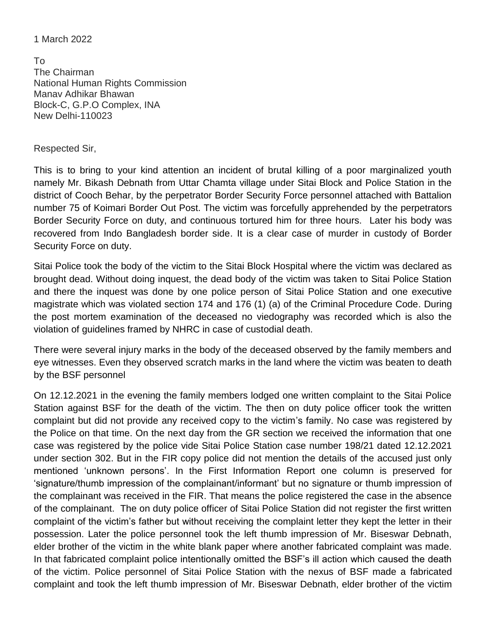## 1 March 2022

To The Chairman National Human Rights Commission Manav Adhikar Bhawan Block-C, G.P.O Complex, INA New Delhi-110023

## Respected Sir,

This is to bring to your kind attention an incident of brutal killing of a poor marginalized youth namely Mr. Bikash Debnath from Uttar Chamta village under Sitai Block and Police Station in the district of Cooch Behar, by the perpetrator Border Security Force personnel attached with Battalion number 75 of Koimari Border Out Post. The victim was forcefully apprehended by the perpetrators Border Security Force on duty, and continuous tortured him for three hours. Later his body was recovered from Indo Bangladesh border side. It is a clear case of murder in custody of Border Security Force on duty.

Sitai Police took the body of the victim to the Sitai Block Hospital where the victim was declared as brought dead. Without doing inquest, the dead body of the victim was taken to Sitai Police Station and there the inquest was done by one police person of Sitai Police Station and one executive magistrate which was violated section 174 and 176 (1) (a) of the Criminal Procedure Code. During the post mortem examination of the deceased no viedography was recorded which is also the violation of guidelines framed by NHRC in case of custodial death.

There were several injury marks in the body of the deceased observed by the family members and eye witnesses. Even they observed scratch marks in the land where the victim was beaten to death by the BSF personnel

On 12.12.2021 in the evening the family members lodged one written complaint to the Sitai Police Station against BSF for the death of the victim. The then on duty police officer took the written complaint but did not provide any received copy to the victim's family. No case was registered by the Police on that time. On the next day from the GR section we received the information that one case was registered by the police vide Sitai Police Station case number 198/21 dated 12.12.2021 under section 302. But in the FIR copy police did not mention the details of the accused just only mentioned 'unknown persons'. In the First Information Report one column is preserved for 'signature/thumb impression of the complainant/informant' but no signature or thumb impression of the complainant was received in the FIR. That means the police registered the case in the absence of the complainant. The on duty police officer of Sitai Police Station did not register the first written complaint of the victim's father but without receiving the complaint letter they kept the letter in their possession. Later the police personnel took the left thumb impression of Mr. Biseswar Debnath, elder brother of the victim in the white blank paper where another fabricated complaint was made. In that fabricated complaint police intentionally omitted the BSF's ill action which caused the death of the victim. Police personnel of Sitai Police Station with the nexus of BSF made a fabricated complaint and took the left thumb impression of Mr. Biseswar Debnath, elder brother of the victim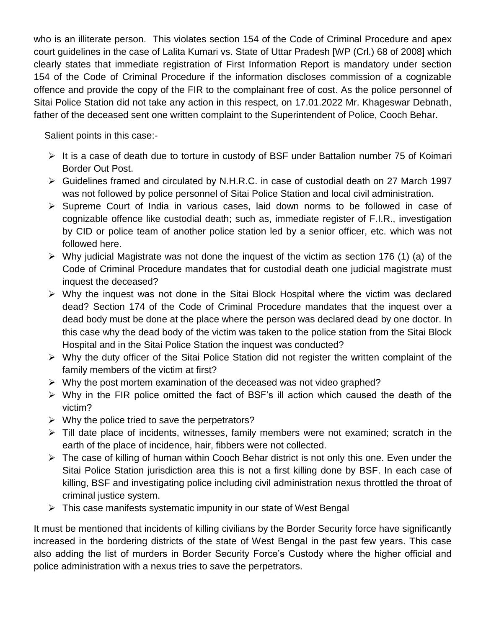who is an illiterate person. This violates section 154 of the Code of Criminal Procedure and apex court guidelines in the case of Lalita Kumari vs. State of Uttar Pradesh [WP (Crl.) 68 of 2008] which clearly states that immediate registration of First Information Report is mandatory under section 154 of the Code of Criminal Procedure if the information discloses commission of a cognizable offence and provide the copy of the FIR to the complainant free of cost. As the police personnel of Sitai Police Station did not take any action in this respect, on 17.01.2022 Mr. Khageswar Debnath, father of the deceased sent one written complaint to the Superintendent of Police, Cooch Behar.

Salient points in this case:-

- $\triangleright$  It is a case of death due to torture in custody of BSF under Battalion number 75 of Koimari Border Out Post.
- Guidelines framed and circulated by N.H.R.C. in case of custodial death on 27 March 1997 was not followed by police personnel of Sitai Police Station and local civil administration.
- $\triangleright$  Supreme Court of India in various cases, laid down norms to be followed in case of cognizable offence like custodial death; such as, immediate register of F.I.R., investigation by CID or police team of another police station led by a senior officer, etc. which was not followed here.
- $\triangleright$  Why judicial Magistrate was not done the inquest of the victim as section 176 (1) (a) of the Code of Criminal Procedure mandates that for custodial death one judicial magistrate must inquest the deceased?
- $\triangleright$  Why the inquest was not done in the Sitai Block Hospital where the victim was declared dead? Section 174 of the Code of Criminal Procedure mandates that the inquest over a dead body must be done at the place where the person was declared dead by one doctor. In this case why the dead body of the victim was taken to the police station from the Sitai Block Hospital and in the Sitai Police Station the inquest was conducted?
- $\triangleright$  Why the duty officer of the Sitai Police Station did not register the written complaint of the family members of the victim at first?
- $\triangleright$  Why the post mortem examination of the deceased was not video graphed?
- $\triangleright$  Why in the FIR police omitted the fact of BSF's ill action which caused the death of the victim?
- $\triangleright$  Why the police tried to save the perpetrators?
- $\triangleright$  Till date place of incidents, witnesses, family members were not examined; scratch in the earth of the place of incidence, hair, fibbers were not collected.
- $\triangleright$  The case of killing of human within Cooch Behar district is not only this one. Even under the Sitai Police Station jurisdiction area this is not a first killing done by BSF. In each case of killing, BSF and investigating police including civil administration nexus throttled the throat of criminal justice system.
- $\triangleright$  This case manifests systematic impunity in our state of West Bengal

It must be mentioned that incidents of killing civilians by the Border Security force have significantly increased in the bordering districts of the state of West Bengal in the past few years. This case also adding the list of murders in Border Security Force's Custody where the higher official and police administration with a nexus tries to save the perpetrators.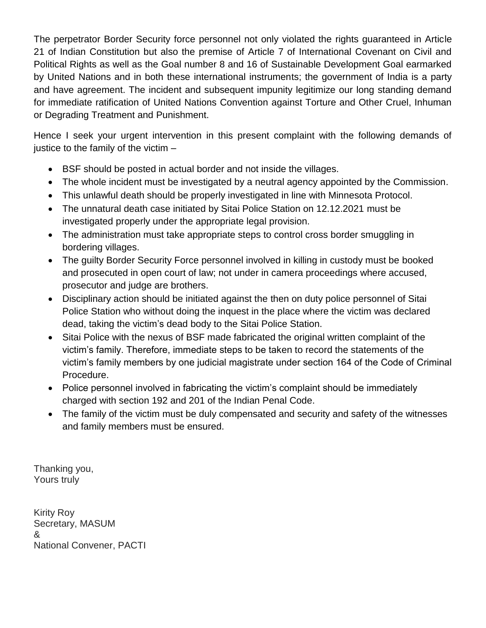The perpetrator Border Security force personnel not only violated the rights guaranteed in Article 21 of Indian Constitution but also the premise of Article 7 of International Covenant on Civil and Political Rights as well as the Goal number 8 and 16 of Sustainable Development Goal earmarked by United Nations and in both these international instruments; the government of India is a party and have agreement. The incident and subsequent impunity legitimize our long standing demand for immediate ratification of United Nations Convention against Torture and Other Cruel, Inhuman or Degrading Treatment and Punishment.

Hence I seek your urgent intervention in this present complaint with the following demands of justice to the family of the victim –

- BSF should be posted in actual border and not inside the villages.
- The whole incident must be investigated by a neutral agency appointed by the Commission.
- This unlawful death should be properly investigated in line with Minnesota Protocol.
- The unnatural death case initiated by Sitai Police Station on 12.12.2021 must be investigated properly under the appropriate legal provision.
- The administration must take appropriate steps to control cross border smuggling in bordering villages.
- The guilty Border Security Force personnel involved in killing in custody must be booked and prosecuted in open court of law; not under in camera proceedings where accused, prosecutor and judge are brothers.
- Disciplinary action should be initiated against the then on duty police personnel of Sitai Police Station who without doing the inquest in the place where the victim was declared dead, taking the victim's dead body to the Sitai Police Station.
- Sitai Police with the nexus of BSF made fabricated the original written complaint of the victim's family. Therefore, immediate steps to be taken to record the statements of the victim's family members by one judicial magistrate under section 164 of the Code of Criminal Procedure.
- Police personnel involved in fabricating the victim's complaint should be immediately charged with section 192 and 201 of the Indian Penal Code.
- The family of the victim must be duly compensated and security and safety of the witnesses and family members must be ensured.

Thanking you, Yours truly

Kirity Roy Secretary, MASUM & National Convener, PACTI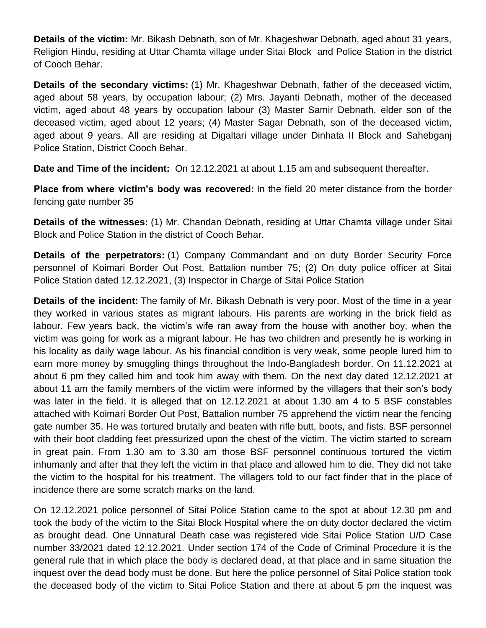**Details of the victim:** Mr. Bikash Debnath, son of Mr. Khageshwar Debnath, aged about 31 years, Religion Hindu, residing at Uttar Chamta village under Sitai Block and Police Station in the district of Cooch Behar.

**Details of the secondary victims:** (1) Mr. Khageshwar Debnath, father of the deceased victim, aged about 58 years, by occupation labour; (2) Mrs. Jayanti Debnath, mother of the deceased victim, aged about 48 years by occupation labour (3) Master Samir Debnath, elder son of the deceased victim, aged about 12 years; (4) Master Sagar Debnath, son of the deceased victim, aged about 9 years. All are residing at Digaltari village under Dinhata II Block and Sahebganj Police Station, District Cooch Behar.

**Date and Time of the incident:** On 12.12.2021 at about 1.15 am and subsequent thereafter.

**Place from where victim's body was recovered:** In the field 20 meter distance from the border fencing gate number 35

**Details of the witnesses:** (1) Mr. Chandan Debnath, residing at Uttar Chamta village under Sitai Block and Police Station in the district of Cooch Behar.

**Details of the perpetrators:** (1) Company Commandant and on duty Border Security Force personnel of Koimari Border Out Post, Battalion number 75; (2) On duty police officer at Sitai Police Station dated 12.12.2021, (3) Inspector in Charge of Sitai Police Station

**Details of the incident:** The family of Mr. Bikash Debnath is very poor. Most of the time in a year they worked in various states as migrant labours. His parents are working in the brick field as labour. Few years back, the victim's wife ran away from the house with another boy, when the victim was going for work as a migrant labour. He has two children and presently he is working in his locality as daily wage labour. As his financial condition is very weak, some people lured him to earn more money by smuggling things throughout the Indo-Bangladesh border. On 11.12.2021 at about 6 pm they called him and took him away with them. On the next day dated 12.12.2021 at about 11 am the family members of the victim were informed by the villagers that their son's body was later in the field. It is alleged that on 12.12.2021 at about 1.30 am 4 to 5 BSF constables attached with Koimari Border Out Post, Battalion number 75 apprehend the victim near the fencing gate number 35. He was tortured brutally and beaten with rifle butt, boots, and fists. BSF personnel with their boot cladding feet pressurized upon the chest of the victim. The victim started to scream in great pain. From 1.30 am to 3.30 am those BSF personnel continuous tortured the victim inhumanly and after that they left the victim in that place and allowed him to die. They did not take the victim to the hospital for his treatment. The villagers told to our fact finder that in the place of incidence there are some scratch marks on the land.

On 12.12.2021 police personnel of Sitai Police Station came to the spot at about 12.30 pm and took the body of the victim to the Sitai Block Hospital where the on duty doctor declared the victim as brought dead. One Unnatural Death case was registered vide Sitai Police Station U/D Case number 33/2021 dated 12.12.2021. Under section 174 of the Code of Criminal Procedure it is the general rule that in which place the body is declared dead, at that place and in same situation the inquest over the dead body must be done. But here the police personnel of Sitai Police station took the deceased body of the victim to Sitai Police Station and there at about 5 pm the inquest was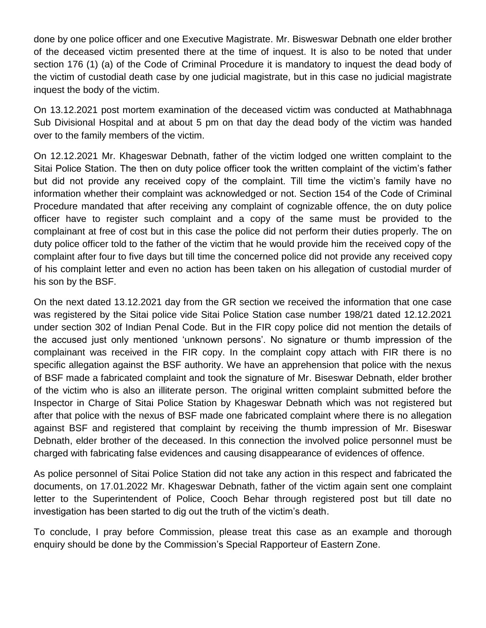done by one police officer and one Executive Magistrate. Mr. Bisweswar Debnath one elder brother of the deceased victim presented there at the time of inquest. It is also to be noted that under section 176 (1) (a) of the Code of Criminal Procedure it is mandatory to inquest the dead body of the victim of custodial death case by one judicial magistrate, but in this case no judicial magistrate inquest the body of the victim.

On 13.12.2021 post mortem examination of the deceased victim was conducted at Mathabhnaga Sub Divisional Hospital and at about 5 pm on that day the dead body of the victim was handed over to the family members of the victim.

On 12.12.2021 Mr. Khageswar Debnath, father of the victim lodged one written complaint to the Sitai Police Station. The then on duty police officer took the written complaint of the victim's father but did not provide any received copy of the complaint. Till time the victim's family have no information whether their complaint was acknowledged or not. Section 154 of the Code of Criminal Procedure mandated that after receiving any complaint of cognizable offence, the on duty police officer have to register such complaint and a copy of the same must be provided to the complainant at free of cost but in this case the police did not perform their duties properly. The on duty police officer told to the father of the victim that he would provide him the received copy of the complaint after four to five days but till time the concerned police did not provide any received copy of his complaint letter and even no action has been taken on his allegation of custodial murder of his son by the BSF.

On the next dated 13.12.2021 day from the GR section we received the information that one case was registered by the Sitai police vide Sitai Police Station case number 198/21 dated 12.12.2021 under section 302 of Indian Penal Code. But in the FIR copy police did not mention the details of the accused just only mentioned 'unknown persons'. No signature or thumb impression of the complainant was received in the FIR copy. In the complaint copy attach with FIR there is no specific allegation against the BSF authority. We have an apprehension that police with the nexus of BSF made a fabricated complaint and took the signature of Mr. Biseswar Debnath, elder brother of the victim who is also an illiterate person. The original written complaint submitted before the Inspector in Charge of Sitai Police Station by Khageswar Debnath which was not registered but after that police with the nexus of BSF made one fabricated complaint where there is no allegation against BSF and registered that complaint by receiving the thumb impression of Mr. Biseswar Debnath, elder brother of the deceased. In this connection the involved police personnel must be charged with fabricating false evidences and causing disappearance of evidences of offence.

As police personnel of Sitai Police Station did not take any action in this respect and fabricated the documents, on 17.01.2022 Mr. Khageswar Debnath, father of the victim again sent one complaint letter to the Superintendent of Police, Cooch Behar through registered post but till date no investigation has been started to dig out the truth of the victim's death.

To conclude, I pray before Commission, please treat this case as an example and thorough enquiry should be done by the Commission's Special Rapporteur of Eastern Zone.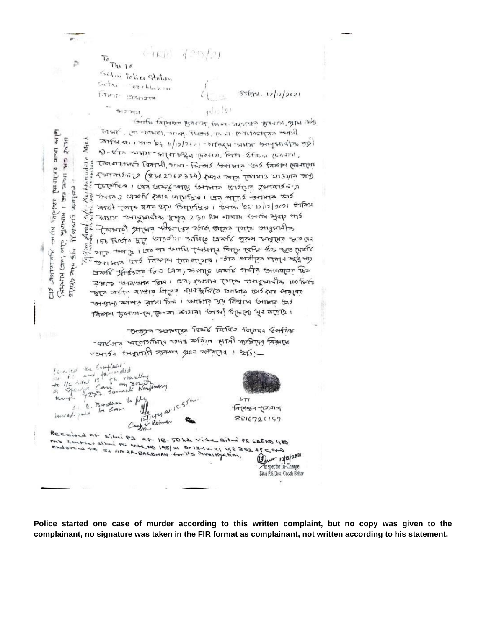$420/21$  $C - I$  $C$  $I +$ 

 $Tht16$ Sitai tolice station Gita Grebbakon tanati  $2341214$ 

lelles Lice

**DATILY DAY** 

ezubalk, 1941 141 Avelalese

ð

 $27.51$ 

いま

**UKAK** 

ste.  $2, 2, 7, 7$ 

í.

**KUNLISTER**  $81413$ 

Com, Alvi

TATINTA (

 $\widetilde{\widetilde{r}}$ orte

 $511$ 

 $2$   $\overline{C}$ 

 $-9$ <del>119</del>4.12/12/2021

 $4.27201$ Cole 1418 (create etclickes rate) Jeresil nevery after BIGIT, (21) -bibiti, stran. Theods, paint Mithaly as vertil रिह का भाग के मार्ग गर मार्ग में का का का का का का मार्ग Mia  $9 - 1$  The masser and the page of the contract of the contract of Tan ATETHO' RATAL OTHI- FROMS JOHNTA 1012 FAXIM MALTIME Galargo (8302968334) And a reta Terrar stand Tetemia I can trast-arti torrare torática derrarásia TO-173 3 tranh por unturno 1 can mas forma tols সার্ভা (अर् रमय श्या जिम्मिकत। जमक श्रे 12/17/2021 श्रीक्रम रे का अध्य कार्यकारी मानत २२० P.M बाजाय र अर्थ सुराष्ट भार टें ने उन्नार आस्त की राज से अर्थ में पान 150 फिर्मात मूर्त ( अनेजी - उनमिए सिर्कार भूखम अमर्गमे मूर दि  $\frac{156}{156}$  the  $\frac{1}{2}$  l  $\frac{1}{2}$  and the the Twitted for the  $\frac{1}{2}$  the  $\frac{1}{2}$  $\frac{1}{10}$  sets to the following the strategy of the state of the state of craft Jingson tra can, siamp craft orcha torrangon Res  $\frac{1}{4812}$  +  $\frac{1}{814}$  metri 100 + 07;  $\frac{1}{4}$  100 + 100 + 100 + 100 + 100 + 100 + 100 + 100 + 100 + 100 + 100 + 100 + 100 + 100 + 100 + 100 + 100 + 100 + 100 + 100 + 100 + 100 + 100 + 100 + 100 + 100 + 100 + 100 + দূৰে সৰ্থাত সাজাৰ ধাৰেৰ নাগৰক্ষণিতে জাগাৰ জাৰ্পক প্ৰবৃত্ত उन गाम) स्थान कुका दिने । स्थानार पूरे मिश्राम स्मान खार क्रियाम दिवनाया- कि, कि- का कामना कारणी उत्तर भूव करण

Oroga suzporpia faunk farfas farana Gorfan  $-$  car of propositive mass is to propose the analysis  $-26$  + 229 + 2014) and the fighted to the

Crafterial leaved the أخذاه مسعا the rid the company of the standing  $m_1 \times n_2 \mathbb{Z}^4$  $76$  and  $7277$ Canimals Narjinary  $A.$  Bandhan to f  $u \sim 1$  $LTI$  $4^{124}$  ar  $15.55$  $L_{\perp}$ 'বিশেষৰ 'দেশোগ Lan  $i$ wys/ $i$   $i$ 问 8816726137 or Roinan Received At s'Itni PS at IC. 50 ha vide situa PS GAEND 480 THE CALL TO BE THE THE THE REAL OF THE BOY of worders St for AR BARDHAN for its investigation, alm 12/0/2021 Inspector In-Charge Sitai P.S. Dist - Cooch Behar

**Police started one case of murder according to this written complaint, but no copy was given to the complainant, no signature was taken in the FIR format as complainant, not written according to his statement.**